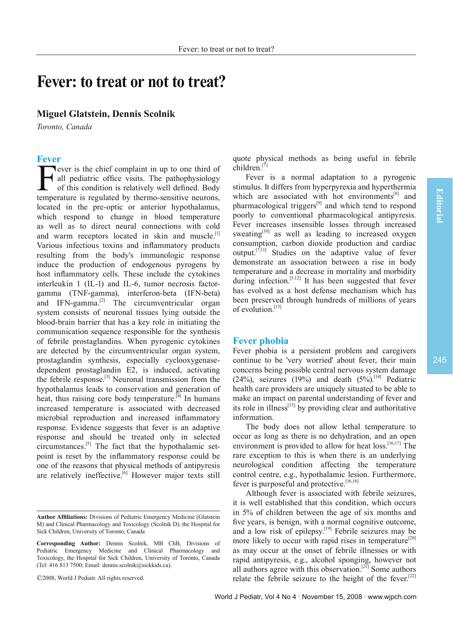# **Fever: to treat or not to treat?**

## **Miguel Glatstein, Dennis Scolnik**

*Toronto, Canada*

## **Fever**

Fever is the chief complaint in up to one third of<br>all pediatric office visits. The pathophysiology<br>of this condition is relatively well defined. Body<br>temperature is requisted by thermo sensitive neurons all pediatric office visits. The pathophysiology of this condition is relatively well defined. Body temperature is regulated by thermo-sensitive neurons, located in the pre-optic or anterior hypothalamus, which respond to change in blood temperature as well as to direct neural connections with cold and warm receptors located in skin and muscle.<sup>[1]</sup> Various infectious toxins and inflammatory products resulting from the body's immunologic response induce the production of endogenous pyrogens by host inflammatory cells. These include the cytokines interleukin 1 (IL-1) and IL-6, tumor necrosis factorgamma (TNF-gamma), interferon-beta (IFN-beta) and IFN-gamma. $^{[2]}$  The circumventricular organ system consists of neuronal tissues lying outside the blood-brain barrier that has a key role in initiating the communication sequence responsible for the synthesis of febrile prostaglandins. When pyrogenic cytokines are detected by the circumventricular organ system, prostaglandin synthesis, especially cyclooxygenasedependent prostaglandin E2, is induced, activating the febrile response.<sup>[3]</sup> Neuronal transmission from the hypothalamus leads to conservation and generation of heat, thus raising core body temperature.<sup>[4]</sup> In humans increased temperature is associated with decreased microbial reproduction and increased inflammatory response. Evidence suggests that fever is an adaptive response and should be treated only in selected circumstances.[5] The fact that the hypothalamic setpoint is reset by the inflammatory response could be one of the reasons that physical methods of antipyresis are relatively ineffective.<sup>[6]</sup> However major texts still

©2008, World J Pediatr. All rights reserved.

quote physical methods as being useful in febrile children.[7]

Fever is a normal adaptation to a pyrogenic stimulus. It differs from hyperpyrexia and hyperthermia which are associated with hot environments $[8]$  and pharmacological triggers<sup>[9]</sup> and which tend to respond poorly to conventional pharmacological antipyresis. Fever increases insensible losses through increased sweating<sup>[10]</sup> as well as leading to increased oxygen consumption, carbon dioxide production and cardiac output.<sup>[7,11]</sup> Studies on the adaptive value of fever demonstrate an association between a rise in body temperature and a decrease in mortality and morbidity during infection.<sup>[5,12]</sup> It has been suggested that fever has evolved as a host defense mechanism which has been preserved through hundreds of millions of years of evolution.[13]

#### **Fever phobia**

Fever phobia is a persistent problem and caregivers continue to be 'very worried' about fever, their main concerns being possible central nervous system damage  $(24%)$ , seizures  $(19%)$  and death  $(5%)$ <sup>[14]</sup> Pediatric health care providers are uniquely situated to be able to make an impact on parental understanding of fever and its role in illness $^{[15]}$  by providing clear and authoritative information.

The body does not allow lethal temperature to occur as long as there is no dehydration, and an open environment is provided to allow for heat  $loss$ .<sup>[16,17]</sup> The rare exception to this is when there is an underlying neurological condition affecting the temperature control centre, e.g., hypothalamic lesion. Furthermore, fever is purposeful and protective.<sup>[16,18]</sup>

Although fever is associated with febrile seizures, it is well established that this condition, which occurs in 5% of children between the age of six months and five years, is benign, with a normal cognitive outcome, and a low risk of epilepsy.[19] Febrile seizures may be more likely to occur with rapid rises in temperature<sup>[20]</sup> as may occur at the onset of febrile illnesses or with rapid antipyresis, e.g., alcohol sponging, however not all authors agree with this observation.<sup>[21]</sup> Some authors relate the febrile seizure to the height of the fever.<sup>[22]</sup>

Author Affiliations: Divisions of Pediatric Emergency Medicine (Glatstein M) and Clinical Pharmacology and Toxicology (Scolnik D), the Hospital for Sick Children, University of Toronto, Canada

**Corresponding Author:** Dennis Scolnik, MB ChB, Divisions of Pediatric Emergency Medicine and Clinical Pharmacology and Toxicology, the Hospital for Sick Children, University of Toronto, Canada (Tel: 416 813 7500; Email: dennis.scolnik@sickkids.ca).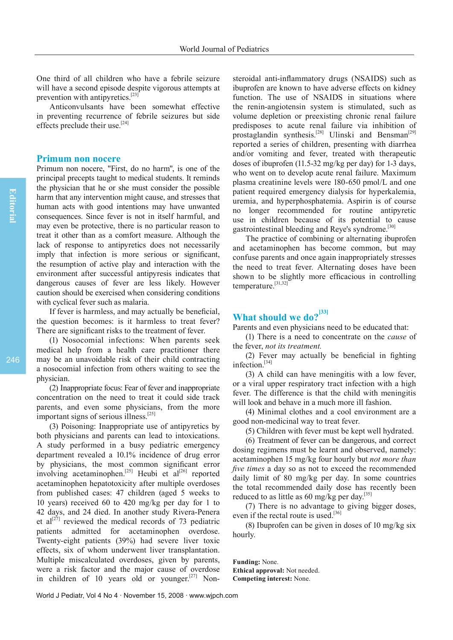One third of all children who have a febrile seizure will have a second episode despite vigorous attempts at prevention with antipyretics.[23]

Anticonvulsants have been somewhat effective in preventing recurrence of febrile seizures but side effects preclude their use.<sup>[24]</sup>

### **Primum non nocere**

Primum non nocere, "First, do no harm", is one of the principal precepts taught to medical students. It reminds the physician that he or she must consider the possible harm that any intervention might cause, and stresses that human acts with good intentions may have unwanted consequences. Since fever is not in itself harmful, and may even be protective, there is no particular reason to treat it other than as a comfort measure. Although the lack of response to antipyretics does not necessarily imply that infection is more serious or significant, the resumption of active play and interaction with the environment after successful antipyresis indicates that dangerous causes of fever are less likely. However caution should be exercised when considering conditions with cyclical fever such as malaria.

If fever is harmless, and may actually be beneficial, the question becomes: is it harmless to treat fever? There are significant risks to the treatment of fever.

(1) Nosocomial infections: When parents seek medical help from a health care practitioner there may be an unavoidable risk of their child contracting a nosocomial infection from others waiting to see the physician.

(2) Inappropriate focus: Fear of fever and inappropriate concentration on the need to treat it could side track parents, and even some physicians, from the more important signs of serious illness.<sup>[25]</sup>

(3) Poisoning: Inappropriate use of antipyretics by both physicians and parents can lead to intoxications. A study performed in a busy pediatric emergency department revealed a 10.1% incidence of drug error by physicians, the most common significant error involving acetaminophen.<sup>[25]</sup> Heubi et al<sup>[26]</sup> reported acetaminophen hepatotoxicity after multiple overdoses from published cases: 47 children (aged 5 weeks to 10 years) received 60 to 420 mg/kg per day for 1 to 42 days, and 24 died. In another study Rivera-Penera et al<sup>[27]</sup> reviewed the medical records of 73 pediatric patients admitted for acetaminophen overdose. Twenty-eight patients (39%) had severe liver toxic effects, six of whom underwent liver transplantation. Multiple miscalculated overdoses, given by parents, were a risk factor and the major cause of overdose in children of 10 years old or younger.<sup>[27]</sup> Nonsteroidal anti-inflammatory drugs (NSAIDS) such as ibuprofen are known to have adverse effects on kidney function. The use of NSAIDS in situations where the renin-angiotensin system is stimulated, such as volume depletion or preexisting chronic renal failure predisposes to acute renal failure via inhibition of prostaglandin synthesis.<sup>[28]</sup> Ulinski and Bensman<sup>[29]</sup> reported a series of children, presenting with diarrhea and/or vomiting and fever, treated with therapeutic doses of ibuprofen (11.5-32 mg/kg per day) for 1-3 days, who went on to develop acute renal failure. Maximum plasma creatinine levels were 180-650 pmol/L and one patient required emergency dialysis for hyperkalemia, uremia, and hyperphosphatemia. Aspirin is of course no longer recommended for routine antipyretic use in children because of its potential to cause gastrointestinal bleeding and Reye's syndrome.[30]

The practice of combining or alternating ibuprofen and acetaminophen has become common, but may confuse parents and once again inappropriately stresses the need to treat fever. Alternating doses have been shown to be slightly more efficacious in controlling temperature.[31,32]

## **What should we do?[33]**

Parents and even physicians need to be educated that:

(1) There is a need to concentrate on the *cause* of the fever, *not its treatment.*

 $(2)$  Fever may actually be beneficial in fighting infection.[34]

(3) A child can have meningitis with a low fever, or a viral upper respiratory tract infection with a high fever. The difference is that the child with meningitis will look and behave in a much more ill fashion.

(4) Minimal clothes and a cool environment are a good non-medicinal way to treat fever.

(5) Children with fever must be kept well hydrated.

(6) Treatment of fever can be dangerous, and correct dosing regimens must be learnt and observed, namely: acetaminophen 15 mg/kg four hourly but *not more than five times* a day so as not to exceed the recommended daily limit of 80 mg/kg per day. In some countries the total recommended daily dose has recently been reduced to as little as 60 mg/kg per day.<sup>[35]</sup>

(7) There is no advantage to giving bigger doses, even if the rectal route is used.<sup>[36]</sup>

(8) Ibuprofen can be given in doses of 10 mg/kg six hourly.

**Funding:** None. **Ethical approval:** Not needed. **Competing interest:** None.